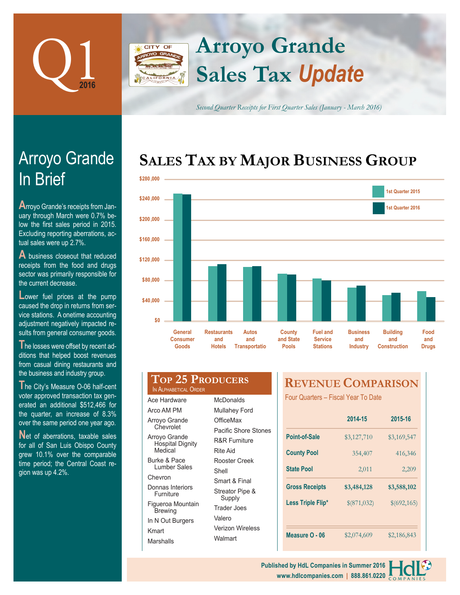

## **Arroyo Grande** CITY OF **Sales Tax** *Update*

*Second Quarter Receipts for First Quarter Sales (January - March 2016)*

## **SALES TAX BY MAJOR BUSINESS GROUP**



# In Brief Arroyo Grande

**A**rroyo Grande's receipts from January through March were 0.7% below the first sales period in 2015. Excluding reporting aberrations, actual sales were up 2.7%.

**A** business closeout that reduced receipts from the food and drugs sector was primarily responsible for the current decrease.

**Lower** fuel prices at the pump caused the drop in returns from service stations. A onetime accounting adjustment negatively impacted results from general consumer goods.

**T**he losses were offset by recent additions that helped boost revenues from casual dining restaurants and the business and industry group.

**T**he City's Measure O-06 half-cent voter approved transaction tax generated an additional \$512,466 for the quarter, an increase of 8.3% over the same period one year ago.

Net of aberrations, taxable sales for all of San Luis Obispo County grew 10.1% over the comparable time period; the Central Coast region was up 4.2%.

#### **Top 25 Producers** IN ALPHABETICAL ORDER

Ace Hardware Arco AM PM Arroyo Grande **Chevrolet** Arroyo Grande Hospital Dignity Medical Burke & Pace Lumber Sales Chevron Donnas Interiors Furniture Figueroa Mountain **Brewing** In N Out Burgers Kmart Marshalls Shell Valero

**McDonalds** Mullahey Ford **OfficeMax** Pacific Shore Stones R&R Furniture Rite Aid Rooster Creek Smart & Final Streator Pipe & Supply Trader Joes Verizon Wireless **Walmart** 

## **REVENUE COMPARISON**

Four Quarters – Fiscal Year To Date

|                       | 2014-15     | 2015-16     |  |
|-----------------------|-------------|-------------|--|
| Point-of-Sale         | \$3,127,710 | \$3,169,547 |  |
| <b>County Pool</b>    | 354,407     | 416,346     |  |
| <b>State Pool</b>     | 2,011       | 2,209       |  |
| <b>Gross Receipts</b> |             |             |  |
|                       | \$3,484,128 | \$3,588,102 |  |
| Less Triple Flip*     | \$(871,032) | \$(692,165) |  |
|                       |             |             |  |